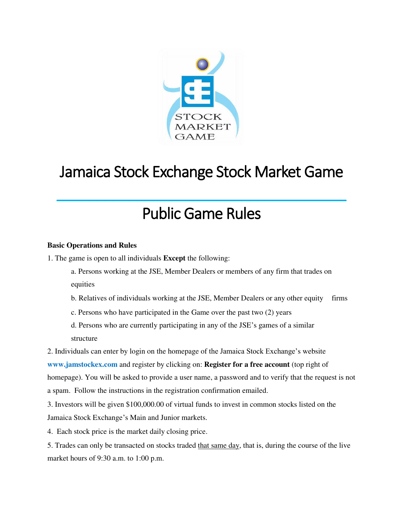

# Jamaica Stock Exchange Stock Market Game  $\overline{\phantom{a}}$  , where  $\overline{\phantom{a}}$  , where  $\overline{\phantom{a}}$  , where  $\overline{\phantom{a}}$  , where  $\overline{\phantom{a}}$  , where  $\overline{\phantom{a}}$

# Public Game Rules

# **Basic Operations and Rules**

1. The game is open to all individuals **Except** the following:

a. Persons working at the JSE, Member Dealers or members of any firm that trades on equities

b. Relatives of individuals working at the JSE, Member Dealers or any other equity firms

- c. Persons who have participated in the Game over the past two (2) years
- d. Persons who are currently participating in any of the JSE's games of a similar structure

2. Individuals can enter by login on the homepage of the Jamaica Stock Exchange's website **www.jamstockex.com** and register by clicking on: **Register for a free account** (top right of homepage). You will be asked to provide a user name, a password and to verify that the request is not a spam. Follow the instructions in the registration confirmation emailed.

3. Investors will be given \$100,000.00 of virtual funds to invest in common stocks listed on the Jamaica Stock Exchange's Main and Junior markets.

4. Each stock price is the market daily closing price.

5. Trades can only be transacted on stocks traded that same day, that is, during the course of the live market hours of 9:30 a.m. to 1:00 p.m.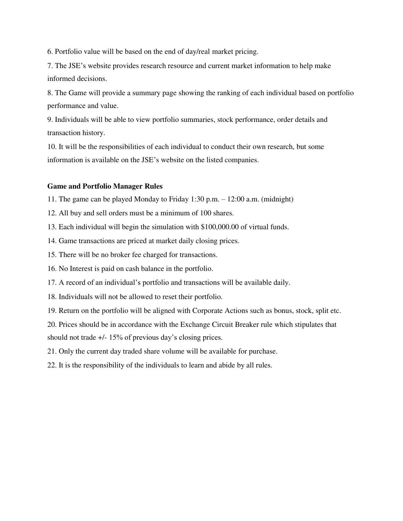6. Portfolio value will be based on the end of day/real market pricing.

7. The JSE's website provides research resource and current market information to help make informed decisions.

8. The Game will provide a summary page showing the ranking of each individual based on portfolio performance and value.

9. Individuals will be able to view portfolio summaries, stock performance, order details and transaction history.

10. It will be the responsibilities of each individual to conduct their own research, but some information is available on the JSE's website on the listed companies.

## **Game and Portfolio Manager Rules**

- 11. The game can be played Monday to Friday 1:30 p.m. 12:00 a.m. (midnight)
- 12. All buy and sell orders must be a minimum of 100 shares.
- 13. Each individual will begin the simulation with \$100,000.00 of virtual funds.
- 14. Game transactions are priced at market daily closing prices.
- 15. There will be no broker fee charged for transactions.
- 16. No Interest is paid on cash balance in the portfolio.
- 17. A record of an individual's portfolio and transactions will be available daily.
- 18. Individuals will not be allowed to reset their portfolio.
- 19. Return on the portfolio will be aligned with Corporate Actions such as bonus, stock, split etc.
- 20. Prices should be in accordance with the Exchange Circuit Breaker rule which stipulates that

should not trade +/- 15% of previous day's closing prices.

21. Only the current day traded share volume will be available for purchase.

22. It is the responsibility of the individuals to learn and abide by all rules.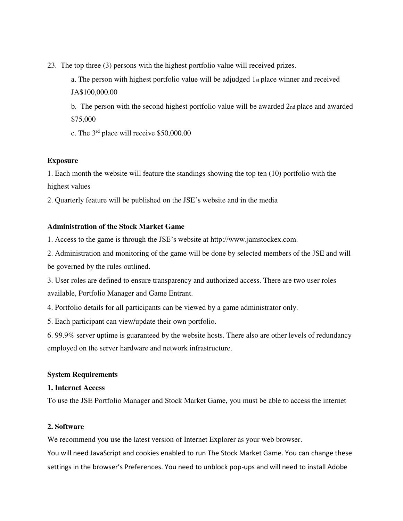23. The top three (3) persons with the highest portfolio value will received prizes.

 a. The person with highest portfolio value will be adjudged 1st place winner and received JA\$100,000.00

b. The person with the second highest portfolio value will be awarded 2nd place and awarded \$75,000

c. The 3rd place will receive \$50,000.00

## **Exposure**

1. Each month the website will feature the standings showing the top ten (10) portfolio with the highest values

2. Quarterly feature will be published on the JSE's website and in the media

#### **Administration of the Stock Market Game**

1. Access to the game is through the JSE's website at http://www.jamstockex.com.

2. Administration and monitoring of the game will be done by selected members of the JSE and will be governed by the rules outlined.

3. User roles are defined to ensure transparency and authorized access. There are two user roles available, Portfolio Manager and Game Entrant.

4. Portfolio details for all participants can be viewed by a game administrator only.

5. Each participant can view/update their own portfolio.

6. 99.9% server uptime is guaranteed by the website hosts. There also are other levels of redundancy employed on the server hardware and network infrastructure.

#### **System Requirements**

#### **1. Internet Access**

To use the JSE Portfolio Manager and Stock Market Game, you must be able to access the internet

## **2. Software**

We recommend you use the latest version of Internet Explorer as your web browser.

You will need JavaScript and cookies enabled to run The Stock Market Game. You can change these settings in the browser's Preferences. You need to unblock pop-ups and will need to install Adobe